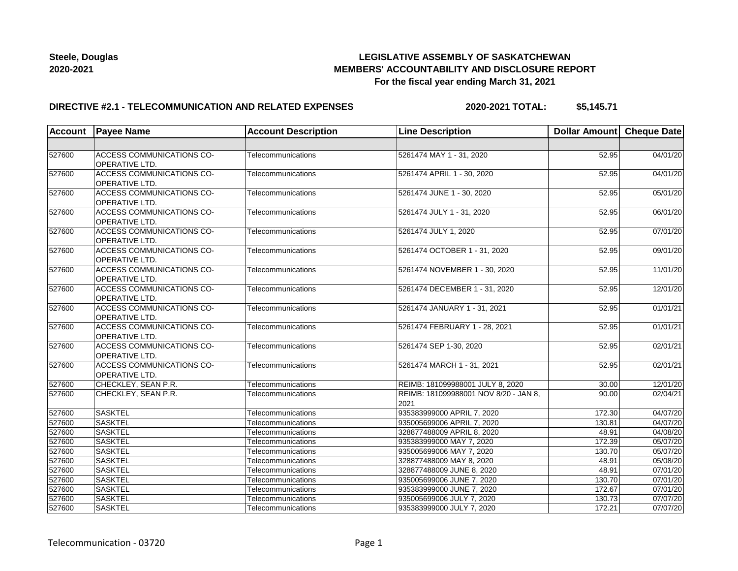## **LEGISLATIVE ASSEMBLY OF SASKATCHEWAN MEMBERS' ACCOUNTABILITY AND DISCLOSURE REPORT For the fiscal year ending March 31, 2021**

## **DIRECTIVE #2.1 - TELECOMMUNICATION AND RELATED EXPENSES**

**2020-2021 TOTAL: \$5,145.71**

| <b>Account</b> | <b>Payee Name</b>                                         | <b>Account Description</b> | <b>Line Description</b>                       | Dollar Amount Cheque Date |                       |
|----------------|-----------------------------------------------------------|----------------------------|-----------------------------------------------|---------------------------|-----------------------|
|                |                                                           |                            |                                               |                           |                       |
| 527600         | <b>ACCESS COMMUNICATIONS CO-</b><br><b>OPERATIVE LTD.</b> | Telecommunications         | 5261474 MAY 1 - 31, 2020                      | 52.95                     | 04/01/20              |
| 527600         | <b>ACCESS COMMUNICATIONS CO-</b><br><b>OPERATIVE LTD.</b> | Telecommunications         | 5261474 APRIL 1 - 30, 2020                    | 52.95                     | 04/01/20              |
| 527600         | <b>ACCESS COMMUNICATIONS CO-</b><br>OPERATIVE LTD.        | Telecommunications         | 5261474 JUNE 1 - 30, 2020                     | 52.95                     | 05/01/20              |
| 527600         | <b>ACCESS COMMUNICATIONS CO-</b><br><b>OPERATIVE LTD.</b> | Telecommunications         | 5261474 JULY 1 - 31, 2020                     | 52.95                     | 06/01/20              |
| 527600         | ACCESS COMMUNICATIONS CO-<br>OPERATIVE LTD.               | Telecommunications         | 5261474 JULY 1, 2020                          | 52.95                     | 07/01/20              |
| 527600         | <b>ACCESS COMMUNICATIONS CO-</b><br>OPERATIVE LTD.        | Telecommunications         | 5261474 OCTOBER 1 - 31, 2020                  | 52.95                     | 09/01/20              |
| 527600         | <b>ACCESS COMMUNICATIONS CO-</b><br>OPERATIVE LTD.        | Telecommunications         | 5261474 NOVEMBER 1 - 30, 2020                 | 52.95                     | 11/01/20              |
| 527600         | <b>ACCESS COMMUNICATIONS CO-</b><br><b>OPERATIVE LTD.</b> | Telecommunications         | 5261474 DECEMBER 1 - 31, 2020                 | 52.95                     | 12/01/20              |
| 527600         | ACCESS COMMUNICATIONS CO-<br>OPERATIVE LTD.               | Telecommunications         | 5261474 JANUARY 1 - 31, 2021                  | 52.95                     | 01/01/21              |
| 527600         | <b>ACCESS COMMUNICATIONS CO-</b><br><b>OPERATIVE LTD.</b> | Telecommunications         | 5261474 FEBRUARY 1 - 28, 2021                 | 52.95                     | 01/01/21              |
| 527600         | <b>ACCESS COMMUNICATIONS CO-</b><br><b>OPERATIVE LTD.</b> | Telecommunications         | 5261474 SEP 1-30, 2020                        | 52.95                     | 02/01/21              |
| 527600         | <b>ACCESS COMMUNICATIONS CO-</b><br>OPERATIVE LTD.        | Telecommunications         | 5261474 MARCH 1 - 31, 2021                    | 52.95                     | 02/01/21              |
| 527600         | CHECKLEY, SEAN P.R.                                       | Telecommunications         | REIMB: 181099988001 JULY 8, 2020              | 30.00                     | 12/01/20              |
| 527600         | CHECKLEY, SEAN P.R.                                       | Telecommunications         | REIMB: 181099988001 NOV 8/20 - JAN 8,<br>2021 | 90.00                     | 02/04/21              |
| 527600         | <b>SASKTEL</b>                                            | Telecommunications         | 935383999000 APRIL 7, 2020                    | 172.30                    | 04/07/20              |
| 527600         | <b>SASKTEL</b>                                            | Telecommunications         | 935005699006 APRIL 7, 2020                    | 130.81                    | 04/07/20              |
| 527600         | <b>SASKTEL</b>                                            | Telecommunications         | 328877488009 APRIL 8, 2020                    | 48.91                     | 04/08/20              |
| 527600         | <b>SASKTEL</b>                                            | Telecommunications         | 935383999000 MAY 7, 2020                      | 172.39                    | 05/07/20              |
| 527600         | <b>SASKTEL</b>                                            | Telecommunications         | 935005699006 MAY 7, 2020                      | 130.70                    | $\overline{05/07/20}$ |
| 527600         | <b>SASKTEL</b>                                            | Telecommunications         | 328877488009 MAY 8, 2020                      | 48.91                     | 05/08/20              |
| 527600         | <b>SASKTEL</b>                                            | Telecommunications         | 328877488009 JUNE 8, 2020                     | 48.91                     | 07/01/20              |
| 527600         | <b>SASKTEL</b>                                            | Telecommunications         | 935005699006 JUNE 7, 2020                     | 130.70                    | 07/01/20              |
| 527600         | <b>SASKTEL</b>                                            | Telecommunications         | 935383999000 JUNE 7, 2020                     | 172.67                    | 07/01/20              |
| 527600         | <b>SASKTEL</b>                                            | Telecommunications         | 935005699006 JULY 7, 2020                     | 130.73                    | 07/07/20              |
| 527600         | <b>SASKTEL</b>                                            | Telecommunications         | 935383999000 JULY 7, 2020                     | 172.21                    | 07/07/20              |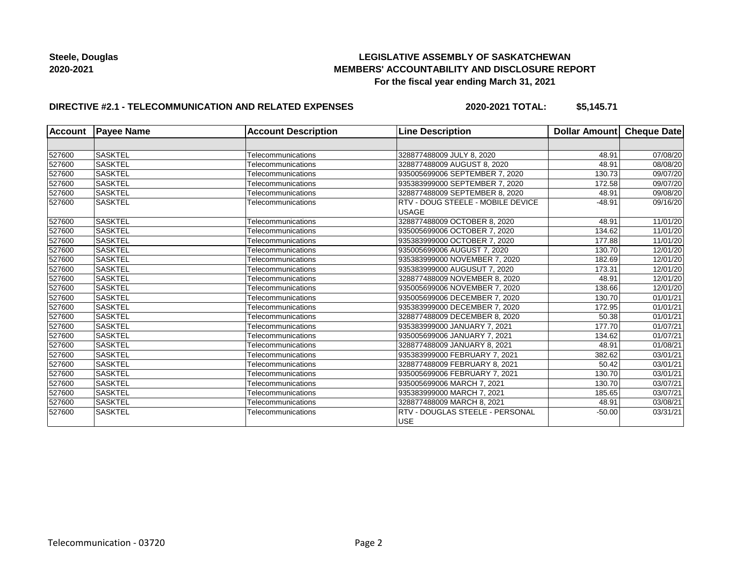## **LEGISLATIVE ASSEMBLY OF SASKATCHEWAN MEMBERS' ACCOUNTABILITY AND DISCLOSURE REPORT For the fiscal year ending March 31, 2021**

## **DIRECTIVE #2.1 - TELECOMMUNICATION AND RELATED EXPENSES**

**2020-2021 TOTAL: \$5,145.71**

| Account | <b>Payee Name</b> | <b>Account Description</b> | <b>Line Description</b>                  | Dollar Amount Cheque Date |          |
|---------|-------------------|----------------------------|------------------------------------------|---------------------------|----------|
|         |                   |                            |                                          |                           |          |
| 527600  | <b>SASKTEL</b>    | Telecommunications         | 328877488009 JULY 8, 2020                | 48.91                     | 07/08/20 |
| 527600  | <b>SASKTEL</b>    | Telecommunications         | 328877488009 AUGUST 8, 2020              | 48.91                     | 08/08/20 |
| 527600  | <b>SASKTEL</b>    | Telecommunications         | 935005699006 SEPTEMBER 7, 2020           | 130.73                    | 09/07/20 |
| 527600  | <b>SASKTEL</b>    | Telecommunications         | 935383999000 SEPTEMBER 7, 2020           | 172.58                    | 09/07/20 |
| 527600  | <b>SASKTEL</b>    | Telecommunications         | 328877488009 SEPTEMBER 8, 2020           | 48.91                     | 09/08/20 |
| 527600  | <b>SASKTEL</b>    | Telecommunications         | <b>RTV - DOUG STEELE - MOBILE DEVICE</b> | $-48.91$                  | 09/16/20 |
|         |                   |                            | <b>USAGE</b>                             |                           |          |
| 527600  | <b>SASKTEL</b>    | Telecommunications         | 328877488009 OCTOBER 8, 2020             | 48.91                     | 11/01/20 |
| 527600  | <b>SASKTEL</b>    | Telecommunications         | 935005699006 OCTOBER 7, 2020             | 134.62                    | 11/01/20 |
| 527600  | <b>SASKTEL</b>    | Telecommunications         | 935383999000 OCTOBER 7, 2020             | 177.88                    | 11/01/20 |
| 527600  | <b>SASKTEL</b>    | Telecommunications         | 935005699006 AUGUST 7, 2020              | 130.70                    | 12/01/20 |
| 527600  | <b>SASKTEL</b>    | Telecommunications         | 935383999000 NOVEMBER 7, 2020            | 182.69                    | 12/01/20 |
| 527600  | <b>SASKTEL</b>    | Telecommunications         | 935383999000 AUGUSUT 7, 2020             | 173.31                    | 12/01/20 |
| 527600  | <b>SASKTEL</b>    | Telecommunications         | 328877488009 NOVEMBER 8, 2020            | 48.91                     | 12/01/20 |
| 527600  | <b>SASKTEL</b>    | Telecommunications         | 935005699006 NOVEMBER 7, 2020            | 138.66                    | 12/01/20 |
| 527600  | <b>SASKTEL</b>    | Telecommunications         | 935005699006 DECEMBER 7, 2020            | 130.70                    | 01/01/21 |
| 527600  | <b>SASKTEL</b>    | Telecommunications         | 935383999000 DECEMBER 7, 2020            | 172.95                    | 01/01/21 |
| 527600  | <b>SASKTEL</b>    | Telecommunications         | 328877488009 DECEMBER 8, 2020            | 50.38                     | 01/01/21 |
| 527600  | <b>SASKTEL</b>    | Telecommunications         | 935383999000 JANUARY 7, 2021             | 177.70                    | 01/07/21 |
| 527600  | <b>SASKTEL</b>    | Telecommunications         | 935005699006 JANUARY 7, 2021             | 134.62                    | 01/07/21 |
| 527600  | <b>SASKTEL</b>    | Telecommunications         | 328877488009 JANUARY 8, 2021             | 48.91                     | 01/08/21 |
| 527600  | <b>SASKTEL</b>    | Telecommunications         | 935383999000 FEBRUARY 7, 2021            | 382.62                    | 03/01/21 |
| 527600  | <b>SASKTEL</b>    | Telecommunications         | 328877488009 FEBRUARY 8, 2021            | 50.42                     | 03/01/21 |
| 527600  | <b>SASKTEL</b>    | Telecommunications         | 935005699006 FEBRUARY 7, 2021            | 130.70                    | 03/01/21 |
| 527600  | <b>SASKTEL</b>    | Telecommunications         | 935005699006 MARCH 7, 2021               | 130.70                    | 03/07/21 |
| 527600  | <b>SASKTEL</b>    | Telecommunications         | 935383999000 MARCH 7, 2021               | 185.65                    | 03/07/21 |
| 527600  | <b>SASKTEL</b>    | Telecommunications         | 328877488009 MARCH 8, 2021               | 48.91                     | 03/08/21 |
| 527600  | <b>SASKTEL</b>    | Telecommunications         | <b>RTV - DOUGLAS STEELE - PERSONAL</b>   | $-50.00$                  | 03/31/21 |
|         |                   |                            | <b>USE</b>                               |                           |          |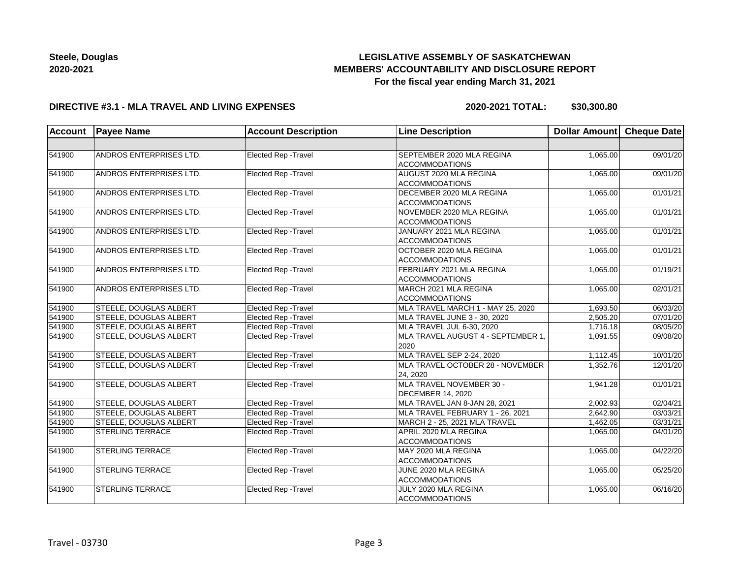# **LEGISLATIVE ASSEMBLY OF SASKATCHEWAN MEMBERS' ACCOUNTABILITY AND DISCLOSURE REPORT For the fiscal year ending March 31, 2021**

### **DIRECTIVE #3.1 - MLA TRAVEL AND LIVING EXPENSES**

**2020-2021 TOTAL: \$30,300.80**

| Account | <b>Payee Name</b>       | <b>Account Description</b>  | <b>Line Description</b>                              | Dollar Amount | <b>Cheque Date</b> |
|---------|-------------------------|-----------------------------|------------------------------------------------------|---------------|--------------------|
|         |                         |                             |                                                      |               |                    |
| 541900  | ANDROS ENTERPRISES LTD. | Elected Rep - Travel        | SEPTEMBER 2020 MLA REGINA<br><b>ACCOMMODATIONS</b>   | 1,065.00      | 09/01/20           |
| 541900  | ANDROS ENTERPRISES LTD. | Elected Rep - Travel        | AUGUST 2020 MLA REGINA<br><b>ACCOMMODATIONS</b>      | 1,065.00      | 09/01/20           |
| 541900  | ANDROS ENTERPRISES LTD. | <b>Elected Rep - Travel</b> | DECEMBER 2020 MLA REGINA<br><b>ACCOMMODATIONS</b>    | 1,065.00      | 01/01/21           |
| 541900  | ANDROS ENTERPRISES LTD. | Elected Rep - Travel        | NOVEMBER 2020 MLA REGINA<br><b>ACCOMMODATIONS</b>    | 1,065.00      | 01/01/21           |
| 541900  | ANDROS ENTERPRISES LTD. | Elected Rep - Travel        | JANUARY 2021 MLA REGINA<br><b>ACCOMMODATIONS</b>     | 1,065.00      | 01/01/21           |
| 541900  | ANDROS ENTERPRISES LTD. | Elected Rep - Travel        | OCTOBER 2020 MLA REGINA<br><b>ACCOMMODATIONS</b>     | 1,065.00      | 01/01/21           |
| 541900  | ANDROS ENTERPRISES LTD. | Elected Rep - Travel        | FEBRUARY 2021 MLA REGINA<br><b>ACCOMMODATIONS</b>    | 1,065.00      | 01/19/21           |
| 541900  | ANDROS ENTERPRISES LTD. | Elected Rep - Travel        | MARCH 2021 MLA REGINA<br><b>ACCOMMODATIONS</b>       | 1,065.00      | 02/01/21           |
| 541900  | STEELE, DOUGLAS ALBERT  | Elected Rep - Travel        | MLA TRAVEL MARCH 1 - MAY 25, 2020                    | 1,693.50      | 06/03/20           |
| 541900  | STEELE, DOUGLAS ALBERT  | Elected Rep - Travel        | MLA TRAVEL JUNE 3 - 30, 2020                         | 2,505.20      | 07/01/20           |
| 541900  | STEELE, DOUGLAS ALBERT  | <b>Elected Rep - Travel</b> | MLA TRAVEL JUL 6-30, 2020                            | 1,716.18      | 08/05/20           |
| 541900  | STEELE, DOUGLAS ALBERT  | <b>Elected Rep - Travel</b> | MLA TRAVEL AUGUST 4 - SEPTEMBER 1,<br>2020           | 1,091.55      | 09/08/20           |
| 541900  | STEELE, DOUGLAS ALBERT  | <b>Elected Rep - Travel</b> | MLA TRAVEL SEP 2-24, 2020                            | 1,112.45      | 10/01/20           |
| 541900  | STEELE, DOUGLAS ALBERT  | Elected Rep - Travel        | MLA TRAVEL OCTOBER 28 - NOVEMBER<br>24, 2020         | 1,352.76      | 12/01/20           |
| 541900  | STEELE, DOUGLAS ALBERT  | Elected Rep - Travel        | MLA TRAVEL NOVEMBER 30 -<br><b>DECEMBER 14, 2020</b> | 1,941.28      | 01/01/21           |
| 541900  | STEELE, DOUGLAS ALBERT  | Elected Rep - Travel        | MLA TRAVEL JAN 8-JAN 28, 2021                        | 2,002.93      | 02/04/21           |
| 541900  | STEELE, DOUGLAS ALBERT  | Elected Rep - Travel        | MLA TRAVEL FEBRUARY 1 - 26, 2021                     | 2,642.90      | 03/03/21           |
| 541900  | STEELE, DOUGLAS ALBERT  | Elected Rep - Travel        | MARCH 2 - 25, 2021 MLA TRAVEL                        | 1,462.05      | 03/31/21           |
| 541900  | <b>STERLING TERRACE</b> | Elected Rep - Travel        | APRIL 2020 MLA REGINA<br><b>ACCOMMODATIONS</b>       | 1,065.00      | 04/01/20           |
| 541900  | <b>STERLING TERRACE</b> | Elected Rep - Travel        | MAY 2020 MLA REGINA<br><b>ACCOMMODATIONS</b>         | 1,065.00      | 04/22/20           |
| 541900  | <b>STERLING TERRACE</b> | Elected Rep - Travel        | JUNE 2020 MLA REGINA<br><b>ACCOMMODATIONS</b>        | 1,065.00      | 05/25/20           |
| 541900  | <b>STERLING TERRACE</b> | <b>Elected Rep - Travel</b> | JULY 2020 MLA REGINA<br><b>ACCOMMODATIONS</b>        | 1,065.00      | 06/16/20           |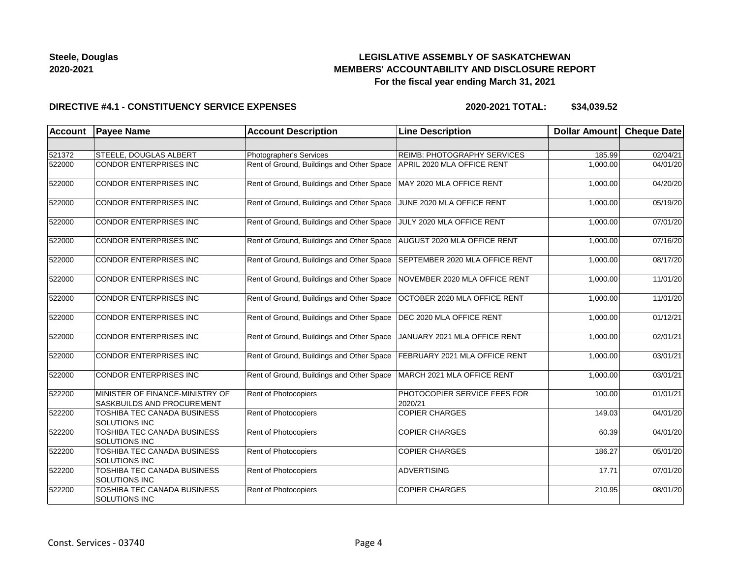## **LEGISLATIVE ASSEMBLY OF SASKATCHEWAN MEMBERS' ACCOUNTABILITY AND DISCLOSURE REPORT For the fiscal year ending March 31, 2021**

### **DIRECTIVE #4.1 - CONSTITUENCY SERVICE EXPENSES**

| <b>Account</b> | <b>Payee Name</b>                                             | <b>Account Description</b>                | <b>Line Description</b>                 | <b>Dollar Amount</b> | <b>Cheque Date</b> |
|----------------|---------------------------------------------------------------|-------------------------------------------|-----------------------------------------|----------------------|--------------------|
|                |                                                               |                                           |                                         |                      |                    |
| 521372         | STEELE, DOUGLAS ALBERT                                        | Photographer's Services                   | <b>REIMB: PHOTOGRAPHY SERVICES</b>      | 185.99               | 02/04/21           |
| 522000         | CONDOR ENTERPRISES INC                                        | Rent of Ground, Buildings and Other Space | APRIL 2020 MLA OFFICE RENT              | 1,000.00             | 04/01/20           |
| 522000         | CONDOR ENTERPRISES INC                                        | Rent of Ground, Buildings and Other Space | MAY 2020 MLA OFFICE RENT                | 1,000.00             | 04/20/20           |
| 522000         | CONDOR ENTERPRISES INC                                        | Rent of Ground, Buildings and Other Space | JUNE 2020 MLA OFFICE RENT               | 1,000.00             | 05/19/20           |
| 522000         | CONDOR ENTERPRISES INC                                        | Rent of Ground, Buildings and Other Space | JULY 2020 MLA OFFICE RENT               | 1,000.00             | 07/01/20           |
| 522000         | CONDOR ENTERPRISES INC                                        | Rent of Ground, Buildings and Other Space | AUGUST 2020 MLA OFFICE RENT             | 1,000.00             | 07/16/20           |
| 522000         | CONDOR ENTERPRISES INC                                        | Rent of Ground, Buildings and Other Space | SEPTEMBER 2020 MLA OFFICE RENT          | 1,000.00             | 08/17/20           |
| 522000         | CONDOR ENTERPRISES INC                                        | Rent of Ground, Buildings and Other Space | NOVEMBER 2020 MLA OFFICE RENT           | 1,000.00             | 11/01/20           |
| 522000         | CONDOR ENTERPRISES INC                                        | Rent of Ground, Buildings and Other Space | OCTOBER 2020 MLA OFFICE RENT            | 1,000.00             | 11/01/20           |
| 522000         | CONDOR ENTERPRISES INC                                        | Rent of Ground, Buildings and Other Space | DEC 2020 MLA OFFICE RENT                | 1,000.00             | 01/12/21           |
| 522000         | CONDOR ENTERPRISES INC                                        | Rent of Ground, Buildings and Other Space | JANUARY 2021 MLA OFFICE RENT            | 1,000.00             | 02/01/21           |
| 522000         | <b>CONDOR ENTERPRISES INC</b>                                 | Rent of Ground, Buildings and Other Space | FEBRUARY 2021 MLA OFFICE RENT           | 1,000.00             | 03/01/21           |
| 522000         | <b>CONDOR ENTERPRISES INC</b>                                 | Rent of Ground, Buildings and Other Space | MARCH 2021 MLA OFFICE RENT              | 1,000.00             | 03/01/21           |
| 522200         | MINISTER OF FINANCE-MINISTRY OF<br>SASKBUILDS AND PROCUREMENT | Rent of Photocopiers                      | PHOTOCOPIER SERVICE FEES FOR<br>2020/21 | 100.00               | 01/01/21           |
| 522200         | TOSHIBA TEC CANADA BUSINESS<br>SOLUTIONS INC                  | Rent of Photocopiers                      | <b>COPIER CHARGES</b>                   | 149.03               | 04/01/20           |
| 522200         | <b>TOSHIBA TEC CANADA BUSINESS</b><br><b>SOLUTIONS INC</b>    | <b>Rent of Photocopiers</b>               | <b>COPIER CHARGES</b>                   | 60.39                | 04/01/20           |
| 522200         | TOSHIBA TEC CANADA BUSINESS<br>SOLUTIONS INC                  | <b>Rent of Photocopiers</b>               | <b>COPIER CHARGES</b>                   | 186.27               | 05/01/20           |
| 522200         | TOSHIBA TEC CANADA BUSINESS<br>SOLUTIONS INC                  | <b>Rent of Photocopiers</b>               | <b>ADVERTISING</b>                      | 17.71                | 07/01/20           |
| 522200         | TOSHIBA TEC CANADA BUSINESS<br>SOLUTIONS INC                  | Rent of Photocopiers                      | <b>COPIER CHARGES</b>                   | 210.95               | 08/01/20           |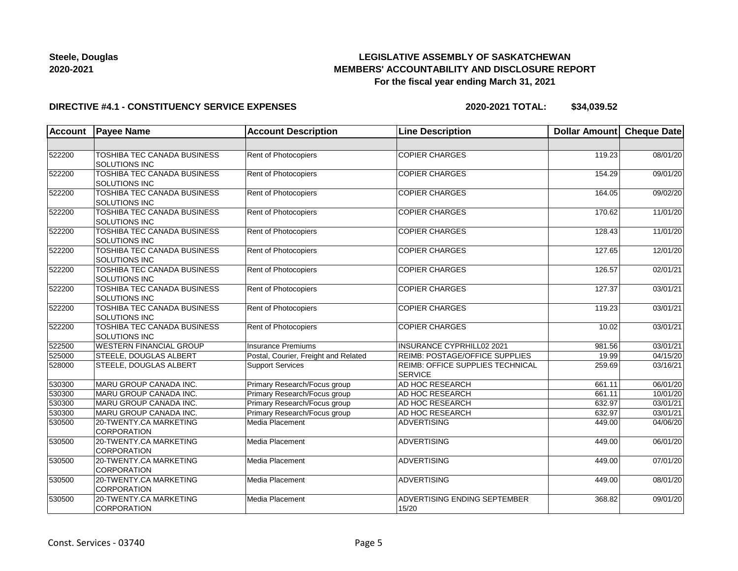## **LEGISLATIVE ASSEMBLY OF SASKATCHEWAN MEMBERS' ACCOUNTABILITY AND DISCLOSURE REPORT For the fiscal year ending March 31, 2021**

### **DIRECTIVE #4.1 - CONSTITUENCY SERVICE EXPENSES**

| <b>Account</b> | <b>Payee Name</b>                                   | <b>Account Description</b>           | <b>Line Description</b>                            | <b>Dollar Amount</b> | <b>Cheque Date</b> |
|----------------|-----------------------------------------------------|--------------------------------------|----------------------------------------------------|----------------------|--------------------|
|                |                                                     |                                      |                                                    |                      |                    |
| 522200         | TOSHIBA TEC CANADA BUSINESS<br><b>SOLUTIONS INC</b> | Rent of Photocopiers                 | <b>COPIER CHARGES</b>                              | 119.23               | 08/01/20           |
| 522200         | TOSHIBA TEC CANADA BUSINESS<br><b>SOLUTIONS INC</b> | Rent of Photocopiers                 | <b>COPIER CHARGES</b>                              | 154.29               | 09/01/20           |
| 522200         | <b>TOSHIBA TEC CANADA BUSINESS</b><br>SOLUTIONS INC | Rent of Photocopiers                 | <b>COPIER CHARGES</b>                              | 164.05               | 09/02/20           |
| 522200         | <b>TOSHIBA TEC CANADA BUSINESS</b><br>SOLUTIONS INC | Rent of Photocopiers                 | <b>COPIER CHARGES</b>                              | 170.62               | 11/01/20           |
| 522200         | TOSHIBA TEC CANADA BUSINESS<br><b>SOLUTIONS INC</b> | Rent of Photocopiers                 | <b>COPIER CHARGES</b>                              | 128.43               | 11/01/20           |
| 522200         | TOSHIBA TEC CANADA BUSINESS<br>SOLUTIONS INC        | Rent of Photocopiers                 | <b>COPIER CHARGES</b>                              | 127.65               | 12/01/20           |
| 522200         | TOSHIBA TEC CANADA BUSINESS<br>SOLUTIONS INC        | <b>Rent of Photocopiers</b>          | <b>COPIER CHARGES</b>                              | 126.57               | 02/01/21           |
| 522200         | TOSHIBA TEC CANADA BUSINESS<br><b>SOLUTIONS INC</b> | Rent of Photocopiers                 | <b>COPIER CHARGES</b>                              | 127.37               | 03/01/21           |
| 522200         | TOSHIBA TEC CANADA BUSINESS<br>SOLUTIONS INC        | <b>Rent of Photocopiers</b>          | <b>COPIER CHARGES</b>                              | 119.23               | 03/01/21           |
| 522200         | <b>TOSHIBA TEC CANADA BUSINESS</b><br>SOLUTIONS INC | Rent of Photocopiers                 | <b>COPIER CHARGES</b>                              | 10.02                | 03/01/21           |
| 522500         | <b>WESTERN FINANCIAL GROUP</b>                      | <b>Insurance Premiums</b>            | <b>INSURANCE CYPRHILL02 2021</b>                   | 981.56               | 03/01/21           |
| 525000         | STEELE, DOUGLAS ALBERT                              | Postal, Courier, Freight and Related | <b>REIMB: POSTAGE/OFFICE SUPPLIES</b>              | 19.99                | 04/15/20           |
| 528000         | STEELE, DOUGLAS ALBERT                              | <b>Support Services</b>              | REIMB: OFFICE SUPPLIES TECHNICAL<br><b>SERVICE</b> | 259.69               | 03/16/21           |
| 530300         | MARU GROUP CANADA INC.                              | Primary Research/Focus group         | AD HOC RESEARCH                                    | 661.11               | 06/01/20           |
| 530300         | <b>MARU GROUP CANADA INC.</b>                       | Primary Research/Focus group         | AD HOC RESEARCH                                    | 661.11               | 10/01/20           |
| 530300         | MARU GROUP CANADA INC.                              | Primary Research/Focus group         | AD HOC RESEARCH                                    | 632.97               | 03/01/21           |
| 530300         | <b>MARU GROUP CANADA INC.</b>                       | Primary Research/Focus group         | AD HOC RESEARCH                                    | 632.97               | 03/01/21           |
| 530500         | 20-TWENTY.CA MARKETING<br><b>CORPORATION</b>        | Media Placement                      | ADVERTISING                                        | 449.00               | 04/06/20           |
| 530500         | 20-TWENTY.CA MARKETING<br><b>CORPORATION</b>        | Media Placement                      | ADVERTISING                                        | 449.00               | 06/01/20           |
| 530500         | 20-TWENTY.CA MARKETING<br><b>CORPORATION</b>        | Media Placement                      | ADVERTISING                                        | 449.00               | 07/01/20           |
| 530500         | 20-TWENTY.CA MARKETING<br><b>CORPORATION</b>        | Media Placement                      | <b>ADVERTISING</b>                                 | 449.00               | 08/01/20           |
| 530500         | 20-TWENTY.CA MARKETING<br><b>CORPORATION</b>        | Media Placement                      | ADVERTISING ENDING SEPTEMBER<br>15/20              | 368.82               | 09/01/20           |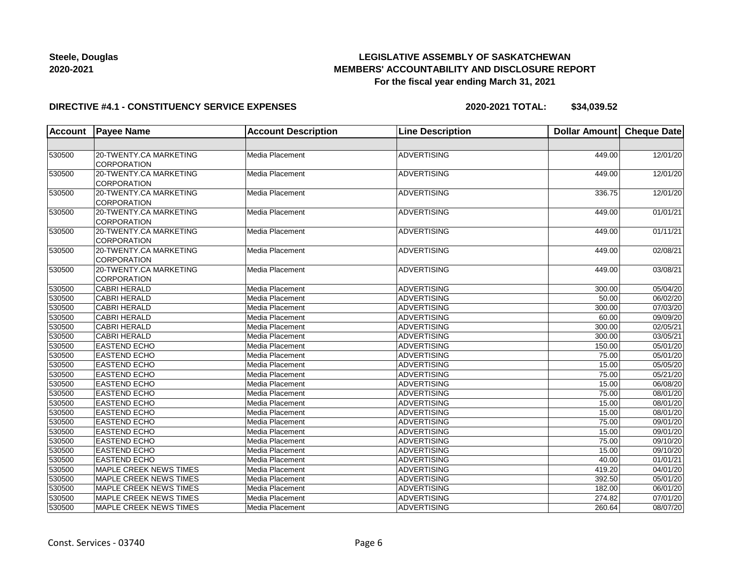## **LEGISLATIVE ASSEMBLY OF SASKATCHEWAN MEMBERS' ACCOUNTABILITY AND DISCLOSURE REPORT For the fiscal year ending March 31, 2021**

#### **DIRECTIVE #4.1 - CONSTITUENCY SERVICE EXPENSES**

| <b>Account</b> | <b>Payee Name</b>             | <b>Account Description</b> | <b>Line Description</b> | <b>Dollar Amount</b> | <b>Cheque Date</b>    |
|----------------|-------------------------------|----------------------------|-------------------------|----------------------|-----------------------|
|                |                               |                            |                         |                      |                       |
| 530500         | 20-TWENTY.CA MARKETING        | Media Placement            | ADVERTISING             | 449.00               | 12/01/20              |
|                | <b>CORPORATION</b>            |                            |                         |                      |                       |
| 530500         | 20-TWENTY.CA MARKETING        | Media Placement            | <b>ADVERTISING</b>      | 449.00               | 12/01/20              |
|                | <b>CORPORATION</b>            |                            |                         |                      |                       |
| 530500         | 20-TWENTY.CA MARKETING        | Media Placement            | ADVERTISING             | 336.75               | 12/01/20              |
|                | <b>CORPORATION</b>            |                            |                         |                      |                       |
| 530500         | 20-TWENTY.CA MARKETING        | Media Placement            | <b>ADVERTISING</b>      | 449.00               | 01/01/21              |
|                | CORPORATION                   |                            |                         |                      |                       |
| 530500         | 20-TWENTY.CA MARKETING        | Media Placement            | <b>ADVERTISING</b>      | 449.00               | 01/11/21              |
|                | CORPORATION                   |                            |                         |                      |                       |
| 530500         | 20-TWENTY.CA MARKETING        | Media Placement            | <b>ADVERTISING</b>      | 449.00               | 02/08/21              |
|                | CORPORATION                   |                            |                         |                      |                       |
| 530500         | 20-TWENTY.CA MARKETING        | Media Placement            | <b>ADVERTISING</b>      | 449.00               | 03/08/21              |
|                | CORPORATION                   |                            |                         |                      |                       |
| 530500         | <b>CABRI HERALD</b>           | Media Placement            | <b>ADVERTISING</b>      | 300.00               | 05/04/20              |
| 530500         | <b>CABRI HERALD</b>           | Media Placement            | ADVERTISING             | 50.00                | 06/02/20              |
| 530500         | <b>CABRI HERALD</b>           | Media Placement            | ADVERTISING             | 300.00               | 07/03/20              |
| 530500         | <b>CABRI HERALD</b>           | Media Placement            | ADVERTISING             | 60.00                | 09/09/20              |
| 530500         | <b>CABRI HERALD</b>           | Media Placement            | <b>ADVERTISING</b>      | 300.00               | 02/05/21              |
| 530500         | <b>CABRI HERALD</b>           | Media Placement            | <b>ADVERTISING</b>      | 300.00               | 03/05/21              |
| 530500         | <b>EASTEND ECHO</b>           | Media Placement            | ADVERTISING             | 150.00               | 05/01/20              |
| 530500         | <b>EASTEND ECHO</b>           | Media Placement            | ADVERTISING             | 75.00                | 05/01/20              |
| 530500         | <b>EASTEND ECHO</b>           | Media Placement            | ADVERTISING             | 15.00                | 05/05/20              |
| 530500         | <b>EASTEND ECHO</b>           | Media Placement            | ADVERTISING             | 75.00                | 05/21/20              |
| 530500         | <b>EASTEND ECHO</b>           | Media Placement            | <b>ADVERTISING</b>      | 15.00                | 06/08/20              |
| 530500         | <b>EASTEND ECHO</b>           | Media Placement            | ADVERTISING             | 75.00                | 08/01/20              |
| 530500         | <b>EASTEND ECHO</b>           | Media Placement            | ADVERTISING             | 15.00                | 08/01/20              |
| 530500         | <b>EASTEND ECHO</b>           | Media Placement            | <b>ADVERTISING</b>      | 15.00                | 08/01/20              |
| 530500         | <b>EASTEND ECHO</b>           | Media Placement            | ADVERTISING             | 75.00                | 09/01/20              |
| 530500         | <b>EASTEND ECHO</b>           | Media Placement            | <b>ADVERTISING</b>      | 15.00                | 09/01/20              |
| 530500         | <b>EASTEND ECHO</b>           | Media Placement            | <b>ADVERTISING</b>      | 75.00                | 09/10/20              |
| 530500         | <b>EASTEND ECHO</b>           | Media Placement            | ADVERTISING             | 15.00                | 09/10/20              |
| 530500         | <b>EASTEND ECHO</b>           | Media Placement            | ADVERTISING             | 40.00                | 01/01/21              |
| 530500         | MAPLE CREEK NEWS TIMES        | Media Placement            | ADVERTISING             | 419.20               | 04/01/20              |
| 530500         | MAPLE CREEK NEWS TIMES        | Media Placement            | <b>ADVERTISING</b>      | 392.50               | 05/01/20              |
| 530500         | <b>MAPLE CREEK NEWS TIMES</b> | Media Placement            | <b>ADVERTISING</b>      | 182.00               | $\overline{06}/01/20$ |
| 530500         | <b>MAPLE CREEK NEWS TIMES</b> | Media Placement            | ADVERTISING             | 274.82               | $\overline{07}/01/20$ |
| 530500         | MAPLE CREEK NEWS TIMES        | Media Placement            | ADVERTISING             | 260.64               | 08/07/20              |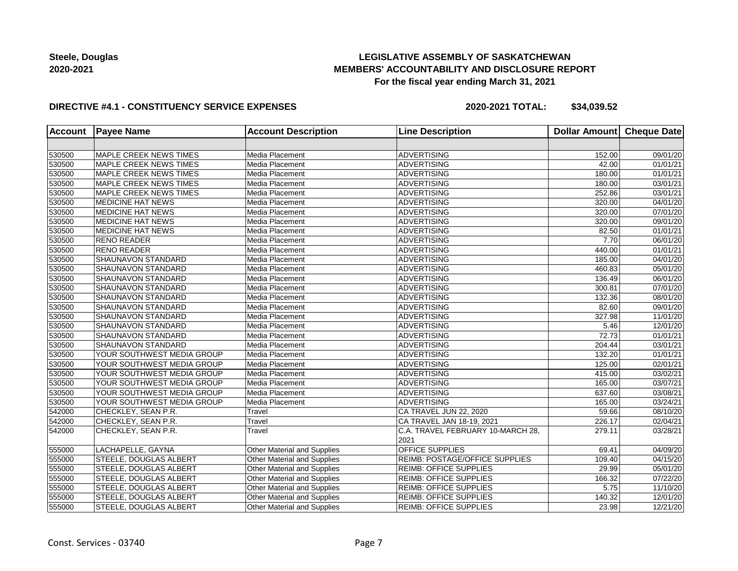## **LEGISLATIVE ASSEMBLY OF SASKATCHEWAN MEMBERS' ACCOUNTABILITY AND DISCLOSURE REPORT For the fiscal year ending March 31, 2021**

### **DIRECTIVE #4.1 - CONSTITUENCY SERVICE EXPENSES**

| <b>Account</b> | <b>Payee Name</b>             | <b>Account Description</b>         | <b>Line Description</b>           | Dollar Amount | <b>Cheque Date</b>    |
|----------------|-------------------------------|------------------------------------|-----------------------------------|---------------|-----------------------|
|                |                               |                                    |                                   |               |                       |
| 530500         | MAPLE CREEK NEWS TIMES        | Media Placement                    | <b>ADVERTISING</b>                | 152.00        | 09/01/20              |
| 530500         | MAPLE CREEK NEWS TIMES        | Media Placement                    | <b>ADVERTISING</b>                | 42.00         | 01/01/21              |
| 530500         | <b>MAPLE CREEK NEWS TIMES</b> | Media Placement                    | <b>ADVERTISING</b>                | 180.00        | $\overline{01}/01/21$ |
| 530500         | MAPLE CREEK NEWS TIMES        | Media Placement                    | ADVERTISING                       | 180.00        | 03/01/21              |
| 530500         | MAPLE CREEK NEWS TIMES        | Media Placement                    | <b>ADVERTISING</b>                | 252.86        | 03/01/21              |
| 530500         | <b>MEDICINE HAT NEWS</b>      | Media Placement                    | <b>ADVERTISING</b>                | 320.00        | 04/01/20              |
| 530500         | <b>MEDICINE HAT NEWS</b>      | Media Placement                    | <b>ADVERTISING</b>                | 320.00        | 07/01/20              |
| 530500         | <b>MEDICINE HAT NEWS</b>      | Media Placement                    | <b>ADVERTISING</b>                | 320.00        | 09/01/20              |
| 530500         | <b>MEDICINE HAT NEWS</b>      | Media Placement                    | <b>ADVERTISING</b>                | 82.50         | 01/01/21              |
| 530500         | <b>RENO READER</b>            | Media Placement                    | ADVERTISING                       | 7.70          | 06/01/20              |
| 530500         | <b>RENO READER</b>            | Media Placement                    | <b>ADVERTISING</b>                | 440.00        | 01/01/21              |
| 530500         | <b>SHAUNAVON STANDARD</b>     | Media Placement                    | <b>ADVERTISING</b>                | 185.00        | 04/01/20              |
| 530500         | <b>SHAUNAVON STANDARD</b>     | Media Placement                    | <b>ADVERTISING</b>                | 460.83        | 05/01/20              |
| 530500         | <b>SHAUNAVON STANDARD</b>     | Media Placement                    | <b>ADVERTISING</b>                | 136.49        | 06/01/20              |
| 530500         | <b>SHAUNAVON STANDARD</b>     | Media Placement                    | <b>ADVERTISING</b>                | 300.81        | 07/01/20              |
| 530500         | <b>SHAUNAVON STANDARD</b>     | Media Placement                    | <b>ADVERTISING</b>                | 132.36        | 08/01/20              |
| 530500         | <b>SHAUNAVON STANDARD</b>     | Media Placement                    | <b>ADVERTISING</b>                | 82.60         | 09/01/20              |
| 530500         | <b>SHAUNAVON STANDARD</b>     | Media Placement                    | <b>ADVERTISING</b>                | 327.98        | 11/01/20              |
| 530500         | SHAUNAVON STANDARD            | Media Placement                    | <b>ADVERTISING</b>                | 5.46          | 12/01/20              |
| 530500         | <b>SHAUNAVON STANDARD</b>     | Media Placement                    | <b>ADVERTISING</b>                | 72.73         | 01/01/21              |
| 530500         | <b>SHAUNAVON STANDARD</b>     | Media Placement                    | <b>ADVERTISING</b>                | 204.44        | 03/01/21              |
| 530500         | YOUR SOUTHWEST MEDIA GROUP    | Media Placement                    | <b>ADVERTISING</b>                | 132.20        | 01/01/21              |
| 530500         | YOUR SOUTHWEST MEDIA GROUP    | Media Placement                    | <b>ADVERTISING</b>                | 125.00        | 02/01/21              |
| 530500         | YOUR SOUTHWEST MEDIA GROUP    | Media Placement                    | <b>ADVERTISING</b>                | 415.00        | 03/02/21              |
| 530500         | YOUR SOUTHWEST MEDIA GROUP    | Media Placement                    | <b>ADVERTISING</b>                | 165.00        | 03/07/21              |
| 530500         | YOUR SOUTHWEST MEDIA GROUP    | Media Placement                    | <b>ADVERTISING</b>                | 637.60        | 03/08/21              |
| 530500         | YOUR SOUTHWEST MEDIA GROUP    | Media Placement                    | <b>ADVERTISING</b>                | 165.00        | 03/24/21              |
| 542000         | CHECKLEY, SEAN P.R.           | Travel                             | CA TRAVEL JUN 22, 2020            | 59.66         | 08/10/20              |
| 542000         | CHECKLEY, SEAN P.R.           | Travel                             | CA TRAVEL JAN 18-19, 2021         | 226.17        | $\overline{02}/04/21$ |
| 542000         | CHECKLEY, SEAN P.R.           | Travel                             | C.A. TRAVEL FEBRUARY 10-MARCH 28, | 279.11        | 03/28/21              |
|                |                               |                                    | 2021                              |               |                       |
| 555000         | LACHAPELLE, GAYNA             | Other Material and Supplies        | OFFICE SUPPLIES                   | 69.41         | 04/09/20              |
| 555000         | <b>STEELE, DOUGLAS ALBERT</b> | Other Material and Supplies        | REIMB: POSTAGE/OFFICE SUPPLIES    | 109.40        | 04/15/20              |
| 555000         | <b>STEELE, DOUGLAS ALBERT</b> | Other Material and Supplies        | <b>REIMB: OFFICE SUPPLIES</b>     | 29.99         | 05/01/20              |
| 555000         | STEELE, DOUGLAS ALBERT        | Other Material and Supplies        | <b>REIMB: OFFICE SUPPLIES</b>     | 166.32        | 07/22/20              |
| 555000         | STEELE, DOUGLAS ALBERT        | Other Material and Supplies        | REIMB: OFFICE SUPPLIES            | 5.75          | 11/10/20              |
| 555000         | <b>STEELE, DOUGLAS ALBERT</b> | Other Material and Supplies        | REIMB: OFFICE SUPPLIES            | 140.32        | 12/01/20              |
| 555000         | STEELE, DOUGLAS ALBERT        | <b>Other Material and Supplies</b> | <b>REIMB: OFFICE SUPPLIES</b>     | 23.98         | 12/21/20              |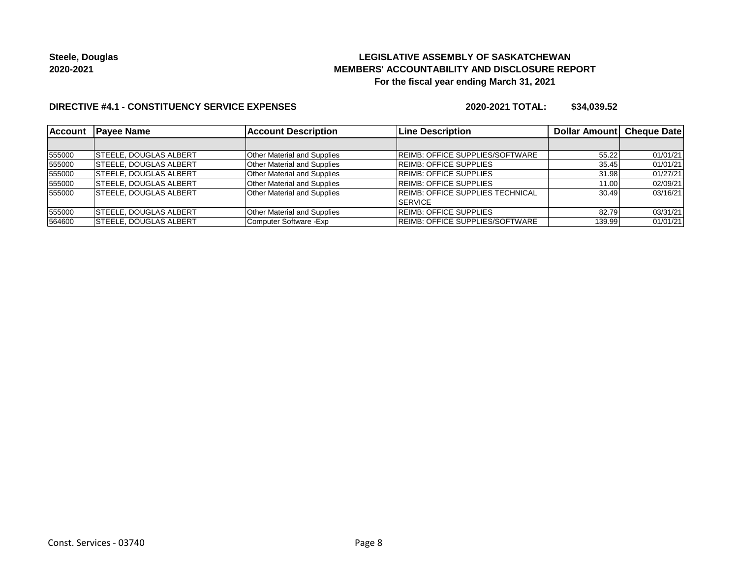## **LEGISLATIVE ASSEMBLY OF SASKATCHEWAN MEMBERS' ACCOUNTABILITY AND DISCLOSURE REPORT For the fiscal year ending March 31, 2021**

### **DIRECTIVE #4.1 - CONSTITUENCY SERVICE EXPENSES**

| <b>Account</b> | <b>IPavee Name</b>            | <b>Account Description</b>         | <b>Line Description</b>          | Dollar Amount   Cheque Date |          |
|----------------|-------------------------------|------------------------------------|----------------------------------|-----------------------------|----------|
|                |                               |                                    |                                  |                             |          |
| 555000         | <b>STEELE, DOUGLAS ALBERT</b> | <b>Other Material and Supplies</b> | REIMB: OFFICE SUPPLIES/SOFTWARE  | 55.22                       | 01/01/21 |
| 555000         | <b>STEELE, DOUGLAS ALBERT</b> | <b>Other Material and Supplies</b> | <b>REIMB: OFFICE SUPPLIES</b>    | 35.45                       | 01/01/21 |
| 555000         | <b>STEELE, DOUGLAS ALBERT</b> | <b>Other Material and Supplies</b> | <b>REIMB: OFFICE SUPPLIES</b>    | 31.98                       | 01/27/21 |
| 555000         | <b>STEELE, DOUGLAS ALBERT</b> | <b>Other Material and Supplies</b> | <b>REIMB: OFFICE SUPPLIES</b>    | 11.00                       | 02/09/21 |
| 555000         | <b>STEELE, DOUGLAS ALBERT</b> | <b>Other Material and Supplies</b> | REIMB: OFFICE SUPPLIES TECHNICAL | 30.49                       | 03/16/21 |
|                |                               |                                    | <b>SERVICE</b>                   |                             |          |
| 555000         | <b>STEELE, DOUGLAS ALBERT</b> | <b>Other Material and Supplies</b> | <b>REIMB: OFFICE SUPPLIES</b>    | 82.79                       | 03/31/21 |
| 564600         | <b>STEELE, DOUGLAS ALBERT</b> | Computer Software - Exp            | REIMB: OFFICE SUPPLIES/SOFTWARE  | 139.99                      | 01/01/21 |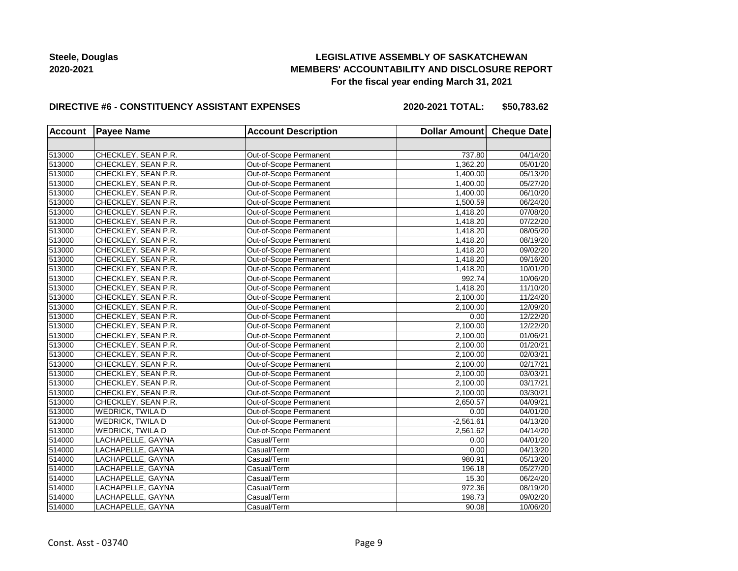## **LEGISLATIVE ASSEMBLY OF SASKATCHEWAN MEMBERS' ACCOUNTABILITY AND DISCLOSURE REPORT For the fiscal year ending March 31, 2021**

#### **DIRECTIVE #6 - CONSTITUENCY ASSISTANT EXPENSES**

**2020-2021 TOTAL: \$50,783.62**

| <b>Account</b> | <b>Payee Name</b>   | <b>Account Description</b> | Dollar Amount Cheque Date |          |
|----------------|---------------------|----------------------------|---------------------------|----------|
|                |                     |                            |                           |          |
| 513000         | CHECKLEY, SEAN P.R. | Out-of-Scope Permanent     | 737.80                    | 04/14/20 |
| 513000         | CHECKLEY, SEAN P.R. | Out-of-Scope Permanent     | 1,362.20                  | 05/01/20 |
| 513000         | CHECKLEY, SEAN P.R. | Out-of-Scope Permanent     | 1,400.00                  | 05/13/20 |
| 513000         | CHECKLEY, SEAN P.R. | Out-of-Scope Permanent     | 1,400.00                  | 05/27/20 |
| 513000         | CHECKLEY, SEAN P.R. | Out-of-Scope Permanent     | 1,400.00                  | 06/10/20 |
| 513000         | CHECKLEY, SEAN P.R. | Out-of-Scope Permanent     | 1,500.59                  | 06/24/20 |
| 513000         | CHECKLEY, SEAN P.R. | Out-of-Scope Permanent     | 1,418.20                  | 07/08/20 |
| 513000         | CHECKLEY, SEAN P.R. | Out-of-Scope Permanent     | 1,418.20                  | 07/22/20 |
| 513000         | CHECKLEY, SEAN P.R. | Out-of-Scope Permanent     | 1,418.20                  | 08/05/20 |
| 513000         | CHECKLEY, SEAN P.R. | Out-of-Scope Permanent     | 1,418.20                  | 08/19/20 |
| 513000         | CHECKLEY, SEAN P.R. | Out-of-Scope Permanent     | 1,418.20                  | 09/02/20 |
| 513000         | CHECKLEY, SEAN P.R. | Out-of-Scope Permanent     | 1,418.20                  | 09/16/20 |
| 513000         | CHECKLEY, SEAN P.R. | Out-of-Scope Permanent     | 1,418.20                  | 10/01/20 |
| 513000         | CHECKLEY, SEAN P.R. | Out-of-Scope Permanent     | 992.74                    | 10/06/20 |
| 513000         | CHECKLEY, SEAN P.R. | Out-of-Scope Permanent     | 1,418.20                  | 11/10/20 |
| 513000         | CHECKLEY, SEAN P.R. | Out-of-Scope Permanent     | 2,100.00                  | 11/24/20 |
| 513000         | CHECKLEY, SEAN P.R. | Out-of-Scope Permanent     | 2,100.00                  | 12/09/20 |
| 513000         | CHECKLEY, SEAN P.R. | Out-of-Scope Permanent     | 0.00                      | 12/22/20 |
| 513000         | CHECKLEY, SEAN P.R. | Out-of-Scope Permanent     | 2,100.00                  | 12/22/20 |
| 513000         | CHECKLEY, SEAN P.R. | Out-of-Scope Permanent     | 2,100.00                  | 01/06/21 |
| 513000         | CHECKLEY, SEAN P.R. | Out-of-Scope Permanent     | 2,100.00                  | 01/20/21 |
| 513000         | CHECKLEY, SEAN P.R. | Out-of-Scope Permanent     | 2,100.00                  | 02/03/21 |
| 513000         | CHECKLEY, SEAN P.R. | Out-of-Scope Permanent     | 2,100.00                  | 02/17/21 |
| 513000         | CHECKLEY, SEAN P.R. | Out-of-Scope Permanent     | 2,100.00                  | 03/03/21 |
| 513000         | CHECKLEY, SEAN P.R. | Out-of-Scope Permanent     | 2,100.00                  | 03/17/21 |
| 513000         | CHECKLEY, SEAN P.R. | Out-of-Scope Permanent     | 2,100.00                  | 03/30/21 |
| 513000         | CHECKLEY, SEAN P.R. | Out-of-Scope Permanent     | 2,650.57                  | 04/09/21 |
| 513000         | WEDRICK, TWILA D    | Out-of-Scope Permanent     | 0.00                      | 04/01/20 |
| 513000         | WEDRICK, TWILA D    | Out-of-Scope Permanent     | $-2,561.61$               | 04/13/20 |
| 513000         | WEDRICK, TWILA D    | Out-of-Scope Permanent     | 2,561.62                  | 04/14/20 |
| 514000         | LACHAPELLE, GAYNA   | Casual/Term                | 0.00                      | 04/01/20 |
| 514000         | LACHAPELLE, GAYNA   | Casual/Term                | 0.00                      | 04/13/20 |
| 514000         | LACHAPELLE, GAYNA   | Casual/Term                | 980.91                    | 05/13/20 |
| 514000         | LACHAPELLE, GAYNA   | Casual/Term                | 196.18                    | 05/27/20 |
| 514000         | LACHAPELLE, GAYNA   | Casual/Term                | 15.30                     | 06/24/20 |
| 514000         | LACHAPELLE, GAYNA   | Casual/Term                | 972.36                    | 08/19/20 |
| 514000         | LACHAPELLE, GAYNA   | Casual/Term                | 198.73                    | 09/02/20 |
| 514000         | LACHAPELLE, GAYNA   | Casual/Term                | 90.08                     | 10/06/20 |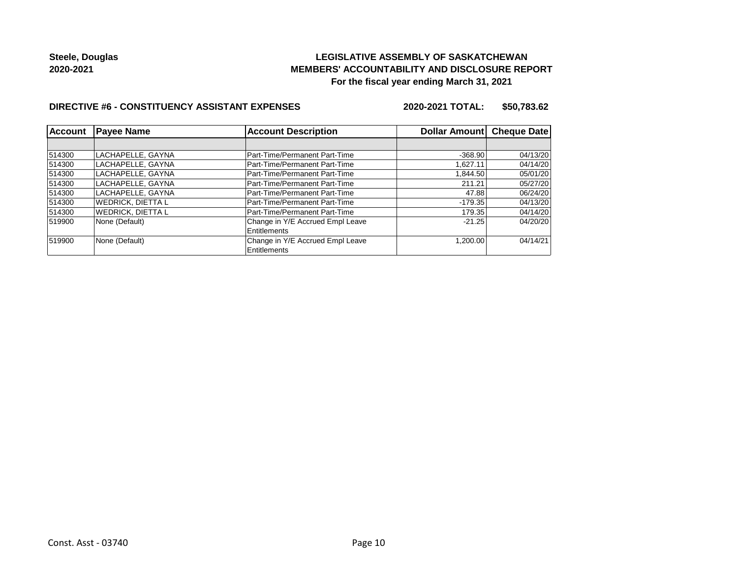## **LEGISLATIVE ASSEMBLY OF SASKATCHEWAN MEMBERS' ACCOUNTABILITY AND DISCLOSURE REPORT For the fiscal year ending March 31, 2021**

### **DIRECTIVE #6 - CONSTITUENCY ASSISTANT EXPENSES**

**2020-2021 TOTAL: \$50,783.62**

| Account | <b>Payee Name</b>        | <b>Account Description</b>                       | Dollar Amount Cheque Date |          |
|---------|--------------------------|--------------------------------------------------|---------------------------|----------|
|         |                          |                                                  |                           |          |
| 514300  | LACHAPELLE, GAYNA        | Part-Time/Permanent Part-Time                    | $-368.90$                 | 04/13/20 |
| 514300  | LACHAPELLE, GAYNA        | Part-Time/Permanent Part-Time                    | 1.627.11                  | 04/14/20 |
| 514300  | LACHAPELLE, GAYNA        | Part-Time/Permanent Part-Time                    | 1,844.50                  | 05/01/20 |
| 514300  | LACHAPELLE, GAYNA        | Part-Time/Permanent Part-Time                    | 211.21                    | 05/27/20 |
| 514300  | LACHAPELLE. GAYNA        | Part-Time/Permanent Part-Time                    | 47.88                     | 06/24/20 |
| 514300  | <b>WEDRICK, DIETTA L</b> | Part-Time/Permanent Part-Time                    | $-179.35$                 | 04/13/20 |
| 514300  | <b>WEDRICK, DIETTA L</b> | Part-Time/Permanent Part-Time                    | 179.35                    | 04/14/20 |
| 519900  | None (Default)           | Change in Y/E Accrued Empl Leave<br>Entitlements | $-21.25$                  | 04/20/20 |
| 519900  | None (Default)           | Change in Y/E Accrued Empl Leave<br>Entitlements | 1.200.00                  | 04/14/21 |